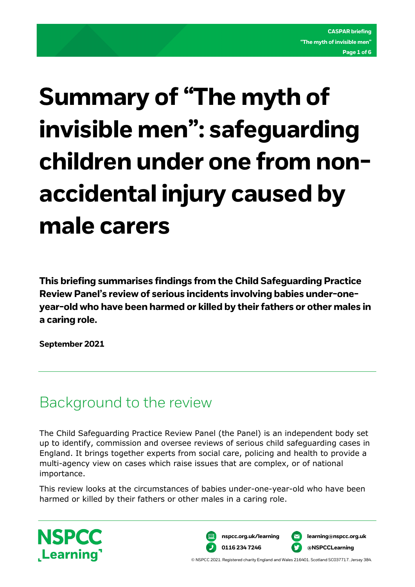# **Summary of "The myth of invisible men": safeguarding children under one from nonaccidental injury caused by male carers**

**This briefing summarises findings from the Child Safeguarding Practice Review Panel's review of serious incidents involving babies under-oneyear-old who have been harmed or killed by their fathers or other males in a caring role.**

**September 2021**

# Background to the review

The Child Safeguarding Practice Review Panel (the Panel) is an independent body set up to identify, commission and oversee reviews of serious child safeguarding cases in England. It brings together experts from social care, policing and health to provide a multi-agency view on cases which raise issues that are complex, or of national importance.

This review looks at the circumstances of babies under-one-year-old who have been harmed or killed by their fathers or other males in a caring role.



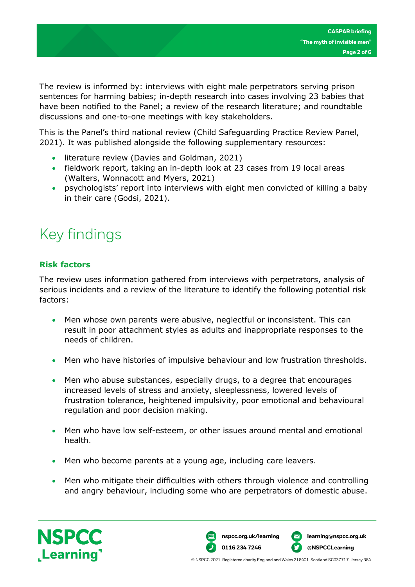The review is informed by: interviews with eight male perpetrators serving prison sentences for harming babies; in-depth research into cases involving 23 babies that have been notified to the Panel; a review of the research literature; and roundtable discussions and one-to-one meetings with key stakeholders.

This is the Panel's third national review (Child Safeguarding Practice Review Panel, 2021). It was published alongside the following supplementary resources:

- literature review (Davies and Goldman, 2021)
- fieldwork report, taking an in-depth look at 23 cases from 19 local areas (Walters, Wonnacott and Myers, 2021)
- psychologists' report into interviews with eight men convicted of killing a baby in their care (Godsi, 2021).

# Key findings

## **Risk factors**

The review uses information gathered from interviews with perpetrators, analysis of serious incidents and a review of the literature to identify the following potential risk factors:

- Men whose own parents were abusive, neglectful or inconsistent. This can result in poor attachment styles as adults and inappropriate responses to the needs of children.
- Men who have histories of impulsive behaviour and low frustration thresholds.
- Men who abuse substances, especially drugs, to a degree that encourages increased levels of stress and anxiety, sleeplessness, lowered levels of frustration tolerance, heightened impulsivity, poor emotional and behavioural regulation and poor decision making.
- Men who have low self-esteem, or other issues around mental and emotional health.
- Men who become parents at a young age, including care leavers.
- Men who mitigate their difficulties with others through violence and controlling and angry behaviour, including some who are perpetrators of domestic abuse.



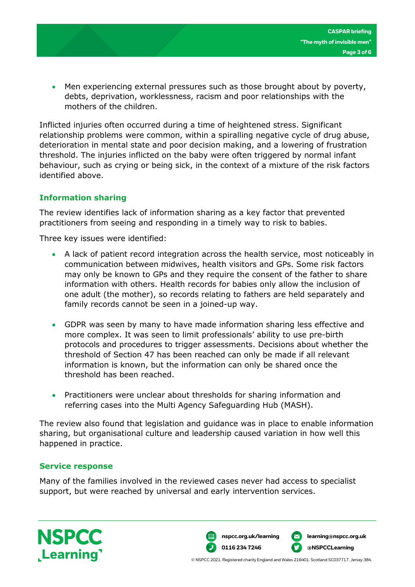• Men experiencing external pressures such as those brought about by poverty, debts, deprivation, worklessness, racism and poor relationships with the mothers of the children.

Inflicted injuries often occurred during a time of heightened stress. Significant relationship problems were common, within a spiralling negative cycle of drug abuse, deterioration in mental state and poor decision making, and a lowering of frustration threshold. The injuries inflicted on the baby were often triggered by normal infant behaviour, such as crying or being sick, in the context of a mixture of the risk factors identified above.

## **Information sharing**

The review identifies lack of information sharing as a key factor that prevented practitioners from seeing and responding in a timely way to risk to babies.

Three key issues were identified:

- A lack of patient record integration across the health service, most noticeably in communication between midwives, health visitors and GPs. Some risk factors may only be known to GPs and they require the consent of the father to share information with others. Health records for babies only allow the inclusion of one adult (the mother), so records relating to fathers are held separately and family records cannot be seen in a joined-up way.
- GDPR was seen by many to have made information sharing less effective and more complex. It was seen to limit professionals' ability to use pre-birth protocols and procedures to trigger assessments. Decisions about whether the threshold of Section 47 has been reached can only be made if all relevant information is known, but the information can only be shared once the threshold has been reached.
- Practitioners were unclear about thresholds for sharing information and referring cases into the Multi Agency Safeguarding Hub (MASH).

The review also found that legislation and guidance was in place to enable information sharing, but organisational culture and leadership caused variation in how well this happened in practice.

#### **Service response**

Many of the families involved in the reviewed cases never had access to specialist support, but were reached by universal and early intervention services.





© NSPCC 2021. Registered charity England and Wales 216401. Scotland SC037717. Jersey 384.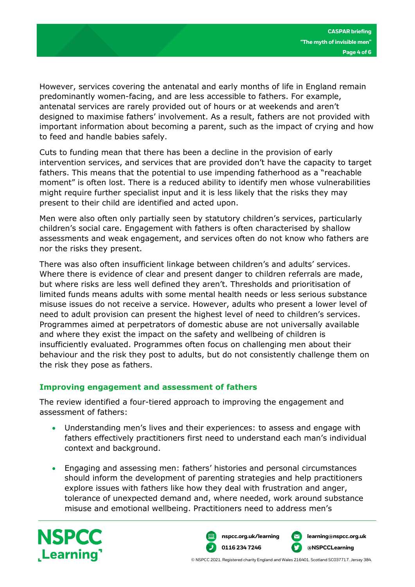However, services covering the antenatal and early months of life in England remain predominantly women-facing, and are less accessible to fathers. For example, antenatal services are rarely provided out of hours or at weekends and aren't designed to maximise fathers' involvement. As a result, fathers are not provided with important information about becoming a parent, such as the impact of crying and how to feed and handle babies safely.

Cuts to funding mean that there has been a decline in the provision of early intervention services, and services that are provided don't have the capacity to target fathers. This means that the potential to use impending fatherhood as a "reachable moment" is often lost. There is a reduced ability to identify men whose vulnerabilities might require further specialist input and it is less likely that the risks they may present to their child are identified and acted upon.

Men were also often only partially seen by statutory children's services, particularly children's social care. Engagement with fathers is often characterised by shallow assessments and weak engagement, and services often do not know who fathers are nor the risks they present.

There was also often insufficient linkage between children's and adults' services. Where there is evidence of clear and present danger to children referrals are made, but where risks are less well defined they aren't. Thresholds and prioritisation of limited funds means adults with some mental health needs or less serious substance misuse issues do not receive a service. However, adults who present a lower level of need to adult provision can present the highest level of need to children's services. Programmes aimed at perpetrators of domestic abuse are not universally available and where they exist the impact on the safety and wellbeing of children is insufficiently evaluated. Programmes often focus on challenging men about their behaviour and the risk they post to adults, but do not consistently challenge them on the risk they pose as fathers.

#### **Improving engagement and assessment of fathers**

The review identified a four-tiered approach to improving the engagement and assessment of fathers:

- Understanding men's lives and their experiences: to assess and engage with fathers effectively practitioners first need to understand each man's individual context and background.
- Engaging and assessing men: fathers' histories and personal circumstances should inform the development of parenting strategies and help practitioners explore issues with fathers like how they deal with frustration and anger, tolerance of unexpected demand and, where needed, work around substance misuse and emotional wellbeing. Practitioners need to address men's



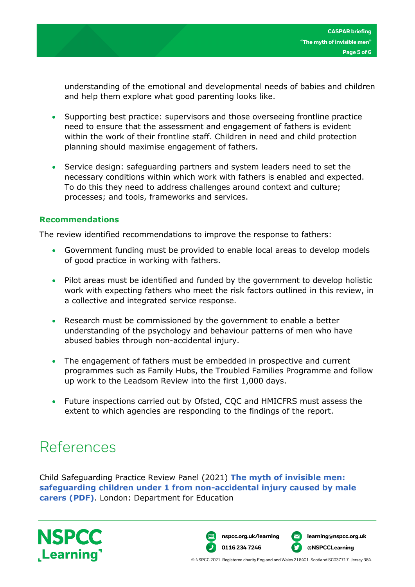understanding of the emotional and developmental needs of babies and children and help them explore what good parenting looks like.

- Supporting best practice: supervisors and those overseeing frontline practice need to ensure that the assessment and engagement of fathers is evident within the work of their frontline staff. Children in need and child protection planning should maximise engagement of fathers.
- Service design: safeguarding partners and system leaders need to set the necessary conditions within which work with fathers is enabled and expected. To do this they need to address challenges around context and culture; processes; and tools, frameworks and services.

#### **Recommendations**

The review identified recommendations to improve the response to fathers:

- Government funding must be provided to enable local areas to develop models of good practice in working with fathers.
- Pilot areas must be identified and funded by the government to develop holistic work with expecting fathers who meet the risk factors outlined in this review, in a collective and integrated service response.
- Research must be commissioned by the government to enable a better understanding of the psychology and behaviour patterns of men who have abused babies through non-accidental injury.
- The engagement of fathers must be embedded in prospective and current programmes such as Family Hubs, the Troubled Families Programme and follow up work to the Leadsom Review into the first 1,000 days.
- Future inspections carried out by Ofsted, CQC and HMICFRS must assess the extent to which agencies are responding to the findings of the report.

# References

Child Safeguarding Practice Review Panel (2021) **[The myth of invisible men:](https://assets.publishing.service.gov.uk/government/uploads/system/uploads/attachment_data/file/1017944/The_myth_of_invisible_men_safeguarding_children_under_1_from_non-accidental_injury_caused_by_male_carers.pdf)  [safeguarding children under 1 from non-accidental injury caused by male](https://assets.publishing.service.gov.uk/government/uploads/system/uploads/attachment_data/file/1017944/The_myth_of_invisible_men_safeguarding_children_under_1_from_non-accidental_injury_caused_by_male_carers.pdf)  [carers \(PDF\)](https://assets.publishing.service.gov.uk/government/uploads/system/uploads/attachment_data/file/1017944/The_myth_of_invisible_men_safeguarding_children_under_1_from_non-accidental_injury_caused_by_male_carers.pdf)**. London: Department for Education





© NSPCC 2021. Registered charity England and Wales 216401. Scotland SC037717. Jersey 384.